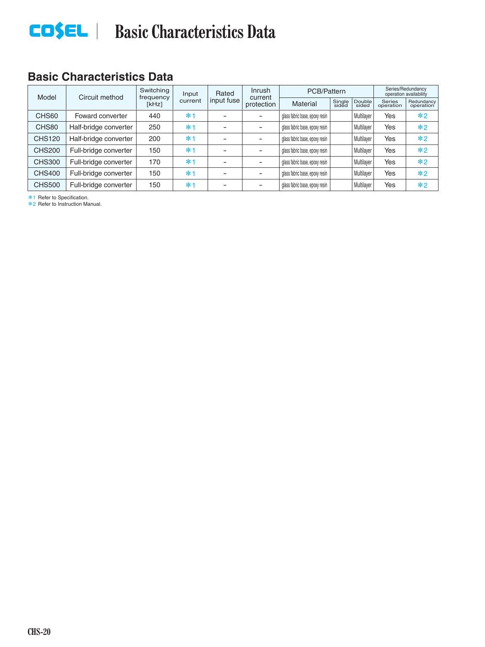# **EDSEL** | Basic Characteristics Data

### **Basic Characteristics Data**

| Model         | Circuit method        | Switching<br>frequency | Input   | Rated      | <b>Inrush</b><br>current | PCB/Pattern                    |                 |                 | Series/Redundancy<br>operation availability |                         |
|---------------|-----------------------|------------------------|---------|------------|--------------------------|--------------------------------|-----------------|-----------------|---------------------------------------------|-------------------------|
|               |                       | [kHz]                  | current | input fuse | protection               | <b>Material</b>                | Single<br>sided | Double<br>sided | <b>Series</b><br>operation                  | Redundancy<br>operation |
| CHS60         | Foward converter      | 440                    | $*1$    |            |                          | glass fabric base, epoxy resin |                 | Multilayer      | Yes                                         | $*2$                    |
| CHS80         | Half-bridge converter | 250                    | $*1$    |            |                          | glass fabric base, epoxy resin |                 | Multilayer      | Yes                                         | $*2$                    |
| <b>CHS120</b> | Half-bridge converter | 200                    | $*1$    |            |                          | glass fabric base, epoxy resin |                 | Multilayer      | Yes                                         | $*2$                    |
| <b>CHS200</b> | Full-bridge converter | 150                    | $*1$    |            |                          | glass fabric base, epoxy resin |                 | Multilayer      | Yes                                         | $*2$                    |
| <b>CHS300</b> | Full-bridge converter | 170                    | $*1$    |            |                          | glass fabric base, epoxy resin |                 | Multilayer      | Yes                                         | $*2$                    |
| <b>CHS400</b> | Full-bridge converter | 150                    | $*1$    |            |                          | glass fabric base, epoxy resin |                 | Multilayer      | Yes                                         | $*2$                    |
| <b>CHS500</b> | Full-bridge converter | 150                    | $*1$    |            |                          | glass fabric base, epoxy resin |                 | Multilayer      | Yes                                         | $*2$                    |

\*1 Refer to Specification. \*2 Refer to Instruction Manual.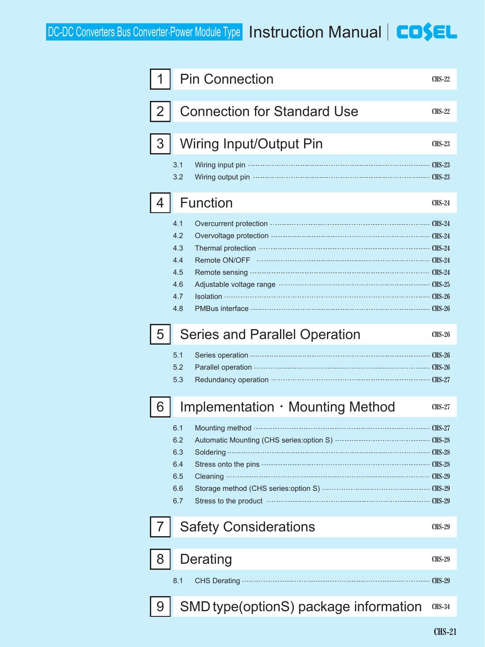|              | <b>Pin Connection</b>                                                                                                                                                                                                                                                                                                                                                                                       | <b>CHS-22</b>                  |
|--------------|-------------------------------------------------------------------------------------------------------------------------------------------------------------------------------------------------------------------------------------------------------------------------------------------------------------------------------------------------------------------------------------------------------------|--------------------------------|
| $\mathbf{2}$ | <b>Connection for Standard Use</b>                                                                                                                                                                                                                                                                                                                                                                          | <b>CHS-22</b>                  |
| 3            | Wiring Input/Output Pin                                                                                                                                                                                                                                                                                                                                                                                     | <b>CHS-23</b>                  |
|              | 3.1<br>Wiring input pin --<br>3.2                                                                                                                                                                                                                                                                                                                                                                           |                                |
| 4            | <b>Function</b>                                                                                                                                                                                                                                                                                                                                                                                             | <b>CHS-24</b>                  |
|              | 4.1<br>4.2<br>4.3<br>4.4<br>4.5<br>4.6<br>4.7<br><b>Isolation</b><br>4.8                                                                                                                                                                                                                                                                                                                                    |                                |
| 5            | <b>Series and Parallel Operation</b>                                                                                                                                                                                                                                                                                                                                                                        | <b>CHS-26</b>                  |
|              | 5.1<br>5.2<br>5.3                                                                                                                                                                                                                                                                                                                                                                                           |                                |
| b            | Implementation · Mounting Method                                                                                                                                                                                                                                                                                                                                                                            | <b>CHS-27</b>                  |
|              | 6.1<br>6.2<br>6.3<br>Soldering -<br>Stress onto the pins <b>contained</b> contained a contact contained contact contact contact contact contact contact contact contact contact contact contact contact contact contact contact contact contact contact contact contact<br>6.4<br>6.5<br>6.6<br>6.7<br>Stress to the product manufactured and stress to the product manufactured and stress to the product. | $---$ CHS-29<br>$-$ CHS-29     |
|              | <b>Safety Considerations</b>                                                                                                                                                                                                                                                                                                                                                                                | <b>CHS-29</b>                  |
| 8            | Derating<br>8.1<br>CHS Derating -                                                                                                                                                                                                                                                                                                                                                                           | <b>CHS-29</b><br><b>CHS-29</b> |
| 9            | SMD type(optionS) package information                                                                                                                                                                                                                                                                                                                                                                       | <b>CHS-34</b>                  |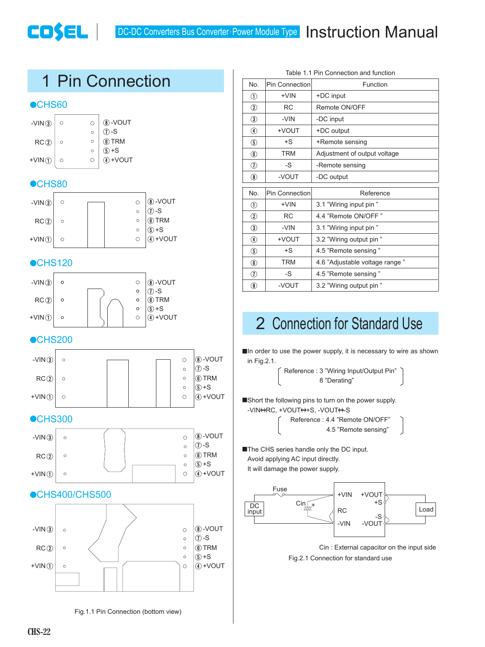

|                | Table 1.1 Pin Connection and function |                                |  |  |  |  |
|----------------|---------------------------------------|--------------------------------|--|--|--|--|
| No.            | Pin Connection                        | Function                       |  |  |  |  |
| $^{\circ}$     | +VIN                                  | +DC input                      |  |  |  |  |
| $\circled{2}$  | <b>RC</b>                             | Remote ON/OFF                  |  |  |  |  |
| $\circled{3}$  | -VIN                                  | -DC input                      |  |  |  |  |
| $^{\circledR}$ | +VOUT                                 | +DC output                     |  |  |  |  |
| $\circledS$    | $+S$                                  | +Remote sensing                |  |  |  |  |
| $^{\circledR}$ | <b>TRM</b>                            | Adjustment of output voltage   |  |  |  |  |
| $^\circledR$   | -S                                    | -Remote sensing                |  |  |  |  |
| $^{\circledR}$ | -VOUT                                 | -DC output                     |  |  |  |  |
| No.            | Pin Connection                        | Reference                      |  |  |  |  |
| $^{\circ}$     | $+VIN$                                | 3.1 "Wiring input pin "        |  |  |  |  |
| $\circled{2}$  | <b>RC</b>                             | 4.4 "Remote ON/OFF"            |  |  |  |  |
| $\circled{3}$  | -VIN                                  | 3.1 "Wiring input pin "        |  |  |  |  |
| $^{\circledR}$ | TUOV+                                 | 3.2 "Wiring output pin "       |  |  |  |  |
| $\circledS$    | $+S$                                  | 4.5 "Remote sensing"           |  |  |  |  |
| $^{\circledR}$ | <b>TRM</b>                            | 4.6 "Adjustable voltage range" |  |  |  |  |
| $^\circledR$   | -S                                    | 4.5 "Remote sensing"           |  |  |  |  |
| $^\circledR$   | -VOUT                                 | 3.2 "Wiring output pin "       |  |  |  |  |

# 2 Connection for Standard Use

 $\blacksquare$ In order to use the power supply, it is necessary to wire as shown in Fig.2.1.

> Reference : 3 "Wiring Input/Output Pin" 8 "Derating"

■Short the following pins to turn on the power supply. -VIN + RC, + VOUT + + S, - VOUT + - S

> Reference : 4.4 "Remote ON/OFF" 4.5 "Remote sensing"

**The CHS series handle only the DC input.** Avoid applying AC input directly. It will damage the power supply.



Fig.2.1 Connection for standard use Cin : External capacitor on the input side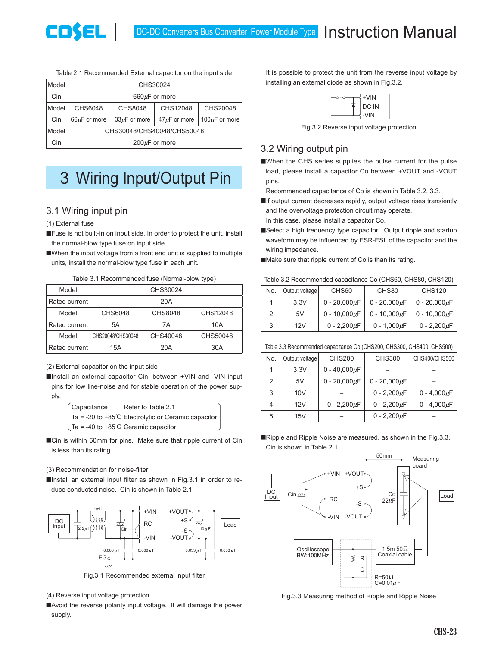

Table 2.1 Recommended External capacitor on the input side

| Model | CHS30024                                                                            |  |  |  |  |  |
|-------|-------------------------------------------------------------------------------------|--|--|--|--|--|
| Cin   | $660\mu F$ or more                                                                  |  |  |  |  |  |
| Model | CHS8048<br>CHS12048<br>CHS20048<br>CHS6048                                          |  |  |  |  |  |
| Cin   | 100 $\mu$ F or more<br>$33\mu$ F or more<br>$47 \mu$ F or more<br>$66\mu$ F or more |  |  |  |  |  |
| Model | CHS30048/CHS40048/CHS50048                                                          |  |  |  |  |  |
| Cin   | $200 \mu F$ or more                                                                 |  |  |  |  |  |

# 3 Wiring Input/Output Pin

#### 3.1 Wiring input pin

(1) External fuse

- ■Fuse is not built-in on input side. In order to protect the unit, install the normal-blow type fuse on input side.
- ■When the input voltage from a front end unit is supplied to multiple units, install the normal-blow type fuse in each unit.

| Table 3.1 Recommended fuse (Normal-blow type) |  |  |
|-----------------------------------------------|--|--|
|-----------------------------------------------|--|--|

| Model         |                   | CHS30024       |          |
|---------------|-------------------|----------------|----------|
| Rated current |                   | 20A            |          |
| Model         | CHS6048           | <b>CHS8048</b> | CHS12048 |
| Rated current | 5Α                | 7A             | 10A      |
| Model         | CHS20048/CHS30048 | CHS40048       | CHS50048 |
| Rated current | 15A               | 20A            | 30A      |

(2) External capacitor on the input side

■Install an external capacitor Cin, between +VIN and -VIN input pins for low line-noise and for stable operation of the power supply.

> Capacitance Refer to Table 2.1 Ta = -20 to +85C Electrolytic or Ceramic capacitor Ta = -40 to +85C Ceramic capacitor

■Cin is within 50mm for pins. Make sure that ripple current of Cin is less than its rating.

#### (3) Recommendation for noise-filter

 $\blacksquare$ Install an external input filter as shown in Fig.3.1 in order to reduce conducted noise. Cin is shown in Table 2.1.



Fig.3.1 Recommended external input filter

- (4) Reverse input voltage protection
- ■Avoid the reverse polarity input voltage. It will damage the power supply.

It is possible to protect the unit from the reverse input voltage by installing an external diode as shown in Fig.3.2.



Fig.3.2 Reverse input voltage protection

#### 3.2 Wiring output pin

¡When the CHS series supplies the pulse current for the pulse load, please install a capacitor Co between +VOUT and -VOUT pins.

Recommended capacitance of Co is shown in Table 3.2, 3.3.

- **If output current decreases rapidly, output voltage rises transiently** and the overvoltage protection circuit may operate.
- In this case, please install a capacitor Co. ■Select a high frequency type capacitor. Output ripple and startup
- waveform may be influenced by ESR-ESL of the capacitor and the wiring impedance.
- ■Make sure that ripple current of Co is than its rating.

Table 3.2 Recommended capacitance Co (CHS60, CHS80, CHS120)

| No. | Output voltage | CHS60              | CHS80              | <b>CHS120</b>      |
|-----|----------------|--------------------|--------------------|--------------------|
|     | 3.3V           | $0 - 20,000 \mu F$ | $0 - 20,000 \mu F$ | $0 - 20,000 \mu F$ |
| 2   | 5V             | $0 - 10,000 \mu F$ | $0 - 10,000 \mu F$ | $0 - 10,000 \mu F$ |
| 3   | 12V            | $0 - 2.200 \mu F$  | $0 - 1,000 \mu F$  | $0 - 2,200 \mu F$  |

| Table 3.3 Recommended capacitance Co (CHS200, CHS300, CHS400, CHS500) |  |  |
|-----------------------------------------------------------------------|--|--|
|                                                                       |  |  |

| No. | Output voltage | <b>CHS200</b>      | <b>CHS300</b>      | CHS400/CHS500     |
|-----|----------------|--------------------|--------------------|-------------------|
| 1   | 3.3V           | 0 - 40,000 $\mu$ F |                    |                   |
| 2   | 5V             | $0 - 20,000 \mu F$ | $0 - 20,000 \mu F$ |                   |
| 3   | 10V            |                    | $0 - 2,200 \mu F$  | $0 - 4,000 \mu F$ |
| 4   | 12V            | 0 - 2,200 $\mu$ F  | $0 - 2,200 \mu F$  | 0 - 4,000 $\mu$ F |
| 5   | 15V            |                    | $0 - 2,200 \mu F$  |                   |

■Ripple and Ripple Noise are measured, as shown in the Fig.3.3. Cin is shown in Table 2.1.



Fig.3.3 Measuring method of Ripple and Ripple Noise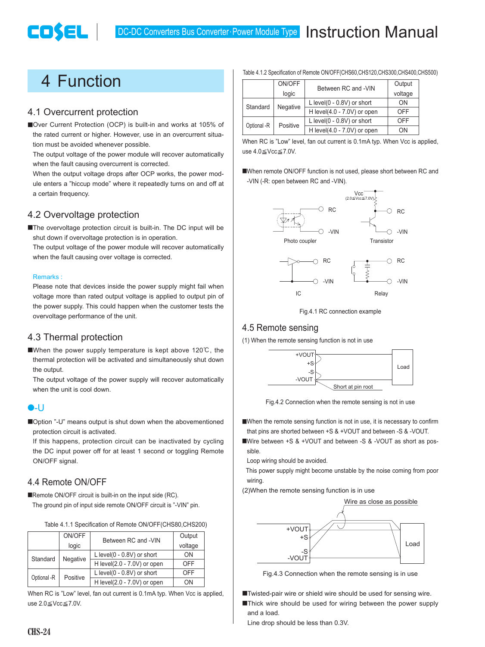# 4 Function

COSEL

#### 4.1 Overcurrent protection

■Over Current Protection (OCP) is built-in and works at 105% of the rated current or higher. However, use in an overcurrent situation must be avoided whenever possible.

The output voltage of the power module will recover automatically when the fault causing overcurrent is corrected.

When the output voltage drops after OCP works, the power module enters a "hiccup mode" where it repeatedly turns on and off at a certain frequency.

#### 4.2 Overvoltage protection

■The overvoltage protection circuit is built-in. The DC input will be shut down if overvoltage protection is in operation.

The output voltage of the power module will recover automatically when the fault causing over voltage is corrected.

#### Remarks :

Please note that devices inside the power supply might fail when voltage more than rated output voltage is applied to output pin of the power supply. This could happen when the customer tests the overvoltage performance of the unit.

#### 4.3 Thermal protection

When the power supply temperature is kept above  $120^{\circ}$ C, the thermal protection will be activated and simultaneously shut down the output.

The output voltage of the power supply will recover automatically when the unit is cool down.

#### ¿-U

■Option "-U" means output is shut down when the abovementioned protection circuit is activated.

If this happens, protection circuit can be inactivated by cycling the DC input power off for at least 1 second or toggling Remote ON/OFF signal.

#### 4.4 Remote ON/OFF

■Remote ON/OFF circuit is built-in on the input side (RC).

The ground pin of input side remote ON/OFF circuit is "-VIN" pin.

| Table 4.1.1 Specification of Remote ON/OFF(CHS80,CHS200) |  |  |
|----------------------------------------------------------|--|--|
|                                                          |  |  |

|             | ON/OFF   | Between RC and -VIN              | Output     |
|-------------|----------|----------------------------------|------------|
|             | logic    |                                  | voltage    |
| Standard    | Negative | $L$ level( $0 - 0.8V$ ) or short | ΩN         |
|             |          | H level(2.0 - 7.0V) or open      | OFF        |
| Optional -R |          | $L$ level( $0 - 0.8V$ ) or short | <b>OFF</b> |
|             | Positive | H level(2.0 - 7.0V) or open      | OΝ         |

When RC is "Low" level, fan out current is 0.1mA typ. When Vcc is applied, use  $2.0 \leq$ Vcc $\leq$ 7.0V.

|             | ON/OFF   | Between RC and -VIN              | Output  |
|-------------|----------|----------------------------------|---------|
|             | logic    |                                  | voltage |
| Standard    | Negative | $L$ level( $0 - 0.8V$ ) or short | ON      |
|             |          | H level(4.0 - 7.0V) or open      | OFF     |
| Optional -R | Positive | $L$ level( $0 - 0.8V$ ) or short | OFF     |
|             |          | H level(4.0 - 7.0V) or open      | OΝ      |

When RC is "Low" level, fan out current is 0.1mA typ. When Vcc is applied, use  $4.0 \leq$ Vcc $\leq$ 7.0V.

¡When remote ON/OFF function is not used, please short between RC and -VIN (-R: open between RC and -VIN).



Fig.4.1 RC connection example

#### 4.5 Remote sensing

(1) When the remote sensing function is not in use



Fig.4.2 Connection when the remote sensing is not in use

■When the remote sensing function is not in use, it is necessary to confirm that pins are shorted between +S & +VOUT and between -S & -VOUT.

■Wire between +S & +VOUT and between -S & -VOUT as short as possible.

Loop wiring should be avoided.

 This power supply might become unstable by the noise coming from poor wiring.

(2)When the remote sensing function is in use



Fig.4.3 Connection when the remote sensing is in use

■Twisted-pair wire or shield wire should be used for sensing wire. ■Thick wire should be used for wiring between the power supply

and a load. Line drop should be less than 0.3V.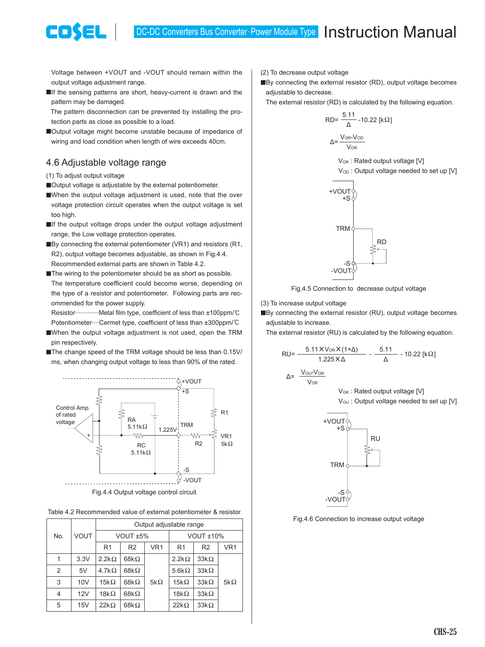Voltage between +VOUT and -VOUT should remain within the output voltage adjustment range.

**If** the sensing patterns are short, heavy-current is drawn and the pattern may be damaged.

 The pattern disconnection can be prevented by installing the protection parts as close as possible to a load.

■Output voltage might become unstable because of impedance of wiring and load condition when length of wire exceeds 40cm.

#### 4.6 Adjustable voltage range

(1) To adjust output voltage

COSEL

■Output voltage is adjustable by the external potentiometer.

- ■When the output voltage adjustment is used, note that the over voltage protection circuit operates when the output voltage is set too high.
- $\blacksquare$ If the output voltage drops under the output voltage adjustment range, the Low voltage protection operates.
- $\blacksquare$ By connecting the external potentiometer (VR1) and resistors (R1, R2), output voltage becomes adjustable, as shown in Fig.4.4. Recommended external parts are shown in Table 4.2.
- The wiring to the potentiometer should be as short as possible. The temperature coefficient could become worse, depending on the type of a resistor and potentiometer. Following parts are recommended for the power supply.

Resistor............Metal film type, coefficient of less than ±100ppm/°C Potentiometer....Cermet type, coefficient of less than ±300ppm/°C

- ■When the output voltage adjustment is not used, open the TRM pin respectively.
- The change speed of the TRM voltage should be less than 0.15V/ ms, when changing output voltage to less than 90% of the rated.



Fig.4.4 Output voltage control circuit

Table 4.2 Recommended value of external potentiometer & resistor

|     | <b>VOUT</b> | Output adjustable range |                |                 |                |                |                 |  |
|-----|-------------|-------------------------|----------------|-----------------|----------------|----------------|-----------------|--|
| No. |             | VOUT <sub>±5</sub> %    |                |                 | VOUT $±10\%$   |                |                 |  |
|     |             | R <sub>1</sub>          | R <sub>2</sub> | VR <sub>1</sub> | R <sub>1</sub> | R <sub>2</sub> | VR <sub>1</sub> |  |
| 1   | 3.3V        | $2.2k\Omega$            | 68k $\Omega$   |                 | $2.2k\Omega$   | $33k\Omega$    |                 |  |
| 2   | 5V          | 4.7k $\Omega$           | 68k $\Omega$   |                 | 5.6k $\Omega$  | $33k\Omega$    |                 |  |
| 3   | 10V         | $15k\Omega$             | 68k $\Omega$   | 5k $\Omega$     | 15k $\Omega$   | $33k\Omega$    | 5k $\Omega$     |  |
| 4   | 12V         | $18k\Omega$             | 68k $\Omega$   |                 | $18k\Omega$    | $33k\Omega$    |                 |  |
| 5   | 15V         | $22k\Omega$             | 68k $\Omega$   |                 | $22k\Omega$    | $33k\Omega$    |                 |  |

(2) To decrease output voltage

■By connecting the external resistor (RD), output voltage becomes adjustable to decrease.

The external resistor (RD) is calculated by the following equation.

$$
RD = \frac{5.11}{\Delta} - 10.22 \text{ [k}\Omega\text{]}
$$

$$
\Delta = \frac{V_{OR} - V_{OD}}{V_{OR}}
$$

V<sub>OR</sub>: Rated output voltage [V] V<sub>OD</sub>: Output voltage needed to set up [V]



Fig.4.5 Connection to decrease output voltage

(3) To increase output voltage

■By connecting the external resistor (RU), output voltage becomes adjustable to increase.

The external resistor (RU) is calculated by the following equation.

$$
RU = \frac{5.11 \times V_{OR} \times (1+\Delta)}{1.225 \times \Delta} - \frac{5.11}{\Delta} - 10.22 \text{ [k}\Omega\text{]}
$$

 $\Lambda =$ **V<sub>OR</sub>** 

V<sub>OR</sub>: Rated output voltage [V]

V<sub>OU</sub>: Output voltage needed to set up [V]



Fig.4.6 Connection to increase output voltage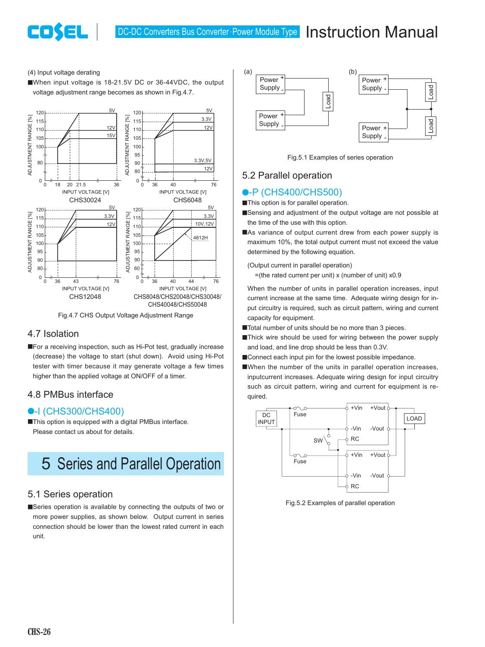#### (4) Input voltage derating

**COSEL** 

■When input voltage is 18-21.5V DC or 36-44VDC, the output voltage adjustment range becomes as shown in Fig.4.7.



Fig.4.7 CHS Output Voltage Adjustment Range

#### 4.7 Isolation

**EFor a receiving inspection, such as Hi-Pot test, gradually increase** (decrease) the voltage to start (shut down). Avoid using Hi-Pot tester with timer because it may generate voltage a few times higher than the applied voltage at ON/OFF of a timer.

#### 4.8 PMBus interface

#### ●-I (CHS300/CHS400)

**This option is equipped with a digital PMBus interface.** Please contact us about for details.

# 5 Series and Parallel Operation

#### 5.1 Series operation

■Series operation is available by connecting the outputs of two or more power supplies, as shown below. Output current in series connection should be lower than the lowest rated current in each unit.



Fig.5.1 Examples of series operation

#### 5.2 Parallel operation

#### **•**-P (CHS400/CHS500)

**This option is for parallel operation.** 

- ■Sensing and adjustment of the output voltage are not possible at the time of the use with this option.
- ■As variance of output current drew from each power supply is maximum 10%, the total output current must not exceed the value determined by the following equation.

(Output current in parallel operation)

 $=$ (the rated current per unit) x (number of unit)  $\times$ 0.9

When the number of units in parallel operation increases, input current increase at the same time. Adequate wiring design for input circuitry is required, such as circuit pattern, wiring and current capacity for equipment.

- Total number of units should be no more than 3 pieces.
- ■Thick wire should be used for wiring between the power supply and load, and line drop should be less than 0.3V.
- Connect each input pin for the lowest possible impedance.
- ■When the number of the units in parallel operation increases, inputcurrent increases. Adequate wiring design for input circuitry such as circuit pattern, wiring and current for equipment is required.



Fig.5.2 Examples of parallel operation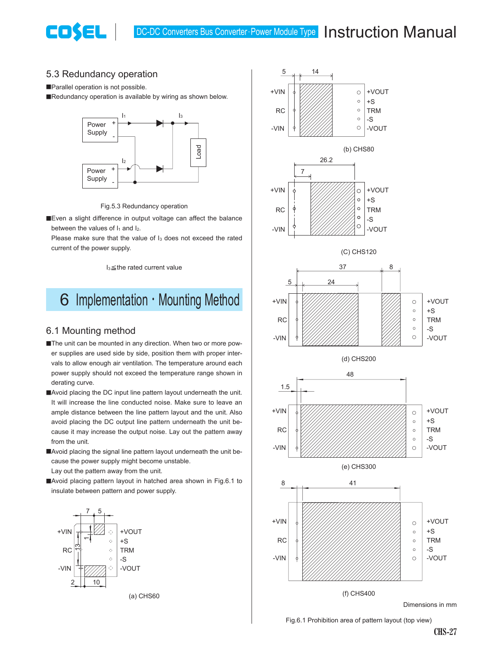#### 5.3 Redundancy operation

Parallel operation is not possible.

**COSEL** 

■Redundancy operation is available by wiring as shown below.



Fig.5.3 Redundancy operation

**Exen a slight difference in output voltage can affect the balance** between the values of  $I_1$  and  $I_2$ .

Please make sure that the value of I<sub>3</sub> does not exceed the rated current of the power supply.

 $I_3 \leq$  the rated current value

# 6 Implementation  $\cdot$  Mounting Method

#### 6.1 Mounting method

- ■The unit can be mounted in any direction. When two or more power supplies are used side by side, position them with proper intervals to allow enough air ventilation. The temperature around each power supply should not exceed the temperature range shown in derating curve.
- ■Avoid placing the DC input line pattern layout underneath the unit. It will increase the line conducted noise. Make sure to leave an ample distance between the line pattern layout and the unit. Also avoid placing the DC output line pattern underneath the unit because it may increase the output noise. Lay out the pattern away from the unit.
- ■Avoid placing the signal line pattern layout underneath the unit because the power supply might become unstable.
- Lay out the pattern away from the unit.
- ■Avoid placing pattern layout in hatched area shown in Fig.6.1 to insulate between pattern and power supply.



(a) CHS60



Fig.6.1 Prohibition area of pattern layout (top view)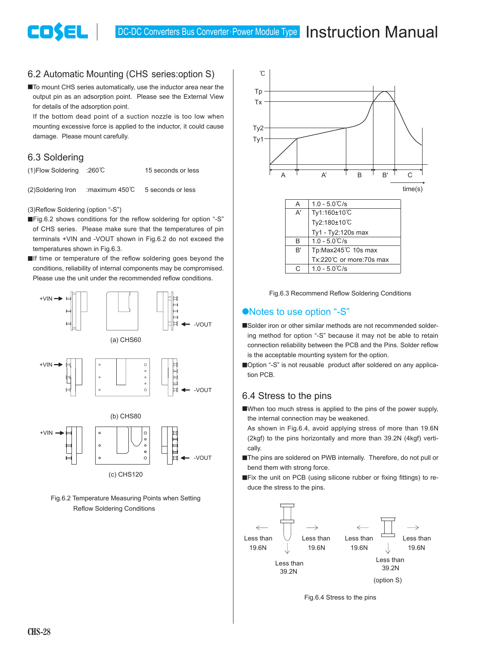#### 6.2 Automatic Mounting (CHS series:option S)

■ To mount CHS series automatically, use the inductor area near the output pin as an adsorption point. Please see the External View for details of the adsorption point.

If the bottom dead point of a suction nozzle is too low when mounting excessive force is applied to the inductor, it could cause damage. Please mount carefully.

#### 6.3 Soldering

COSEL

(1)Flow Soldering :260C 15 seconds or less (2)Soldering Iron :maximum 450C 5 seconds or less

(3)Reflow Soldering (option "-S")

- ■Fig.6.2 shows conditions for the reflow soldering for option "-S" of CHS series. Please make sure that the temperatures of pin terminals +VIN and -VOUT shown in Fig.6.2 do not exceed the temperatures shown in Fig.6.3.
- $\blacksquare$ If time or temperature of the reflow soldering goes beyond the conditions, reliability of internal components may be compromised. Please use the unit under the recommended reflow conditions.



Fig.6.2 Temperature Measuring Points when Setting Reflow Soldering Conditions





#### ●Notes to use option "-S"

- ■Solder iron or other similar methods are not recommended soldering method for option "-S" because it may not be able to retain connection reliability between the PCB and the Pins. Solder reflow is the acceptable mounting system for the option.
- ■Option "-S" is not reusable product after soldered on any application PCB.

#### 6.4 Stress to the pins

- ■When too much stress is applied to the pins of the power supply, the internal connection may be weakened.
- As shown in Fig.6.4, avoid applying stress of more than 19.6N (2kgf) to the pins horizontally and more than 39.2N (4kgf) vertically.
- The pins are soldered on PWB internally. Therefore, do not pull or bend them with strong force.
- ■Fix the unit on PCB (using silicone rubber or fixing fittings) to reduce the stress to the pins.



Fig.6.4 Stress to the pins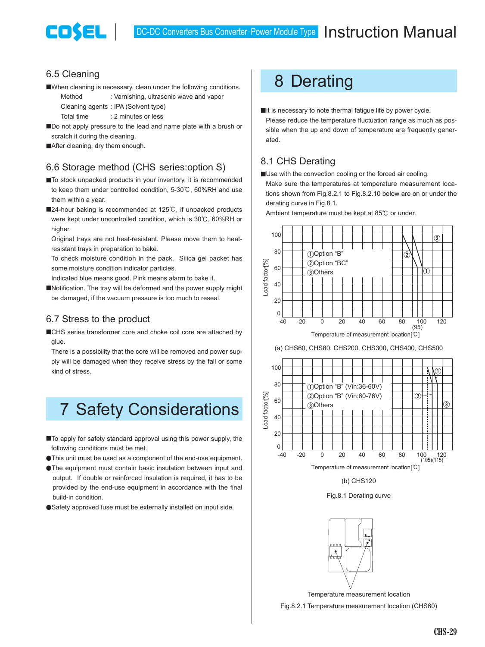

#### 6.5 Cleaning

■When cleaning is necessary, clean under the following conditions.

Method : Varnishing, ultrasonic wave and vapor Cleaning agents : IPA (Solvent type)

Total time : 2 minutes or less

■Do not apply pressure to the lead and name plate with a brush or scratch it during the cleaning.

After cleaning, dry them enough.

#### 6.6 Storage method (CHS series:option S)

- To stock unpacked products in your inventory, it is recommended to keep them under controlled condition, 5-30°C, 60%RH and use them within a year.
- ■24-hour baking is recommended at 125℃, if unpacked products were kept under uncontrolled condition, which is 30°C, 60%RH or higher.

Original trays are not heat-resistant. Please move them to heatresistant trays in preparation to bake.

To check moisture condition in the pack. Silica gel packet has some moisture condition indicator particles.

Indicated blue means good. Pink means alarm to bake it.

■Notification. The tray will be deformed and the power supply might be damaged, if the vacuum pressure is too much to reseal.

#### 6.7 Stress to the product

■CHS series transformer core and choke coil core are attached by glue.

There is a possibility that the core will be removed and power supply will be damaged when they receive stress by the fall or some kind of stress.

# 7 Safety Considerations

- To apply for safety standard approval using this power supply, the following conditions must be met.
- ¿This unit must be used as a component of the end-use equipment.
- **•The equipment must contain basic insulation between input and** output. If double or reinforced insulation is required, it has to be provided by the end-use equipment in accordance with the final build-in condition.
- Safety approved fuse must be externally installed on input side.

# 8 Derating

It is necessary to note thermal fatigue life by power cycle. Please reduce the temperature fluctuation range as much as possible when the up and down of temperature are frequently generated.

#### 8.1 CHS Derating

**IDse with the convection cooling or the forced air cooling.** 

Make sure the temperatures at temperature measurement locations shown from Fig.8.2.1 to Fig.8.2.10 below are on or under the derating curve in Fig.8.1.

Ambient temperature must be kept at 85°C or under.



(a) CHS60, CHS80, CHS200, CHS300, CHS400, CHS500





Fig.8.1 Derating curve



Temperature measurement location

Fig.8.2.1 Temperature measurement location (CHS60)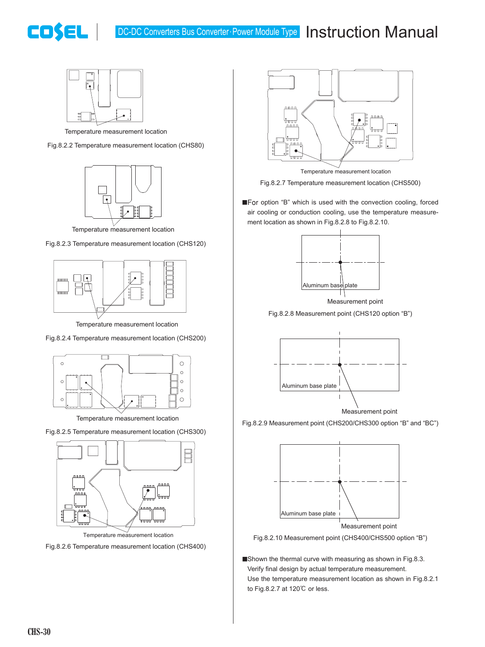# COSEL



Temperature measurement location

Fig.8.2.2 Temperature measurement location (CHS80)



Temperature measurement location

Fig.8.2.3 Temperature measurement location (CHS120)



Temperature measurement location

Fig.8.2.4 Temperature measurement location (CHS200)



Temperature measurement location

Fig.8.2.5 Temperature measurement location (CHS300)



Temperature measurement location

Fig.8.2.6 Temperature measurement location (CHS400)



Fig.8.2.7 Temperature measurement location (CHS500)

■For option "B" which is used with the convection cooling, forced air cooling or conduction cooling, use the temperature measurement location as shown in Fig.8.2.8 to Fig.8.2.10.



Measurement point

Fig.8.2.8 Measurement point (CHS120 option "B")



Measurement point

Fig.8.2.9 Measurement point (CHS200/CHS300 option "B" and "BC")



Fig.8.2.10 Measurement point (CHS400/CHS500 option "B")

■Shown the thermal curve with measuring as shown in Fig.8.3. Verify final design by actual temperature measurement. Use the temperature measurement location as shown in Fig.8.2.1 to Fig.8.2.7 at 120°C or less.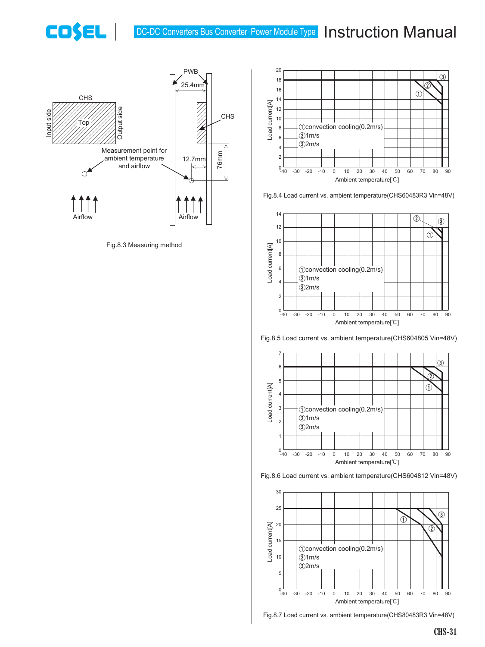## DC-DC Converters Bus Converter Power Module Type Instruction Manual



COSEL |

Fig.8.3 Measuring method



Fig.8.4 Load current vs. ambient temperature(CHS60483R3 Vin=48V)



Fig.8.5 Load current vs. ambient temperature(CHS604805 Vin=48V)







Fig.8.7 Load current vs. ambient temperature(CHS80483R3 Vin=48V)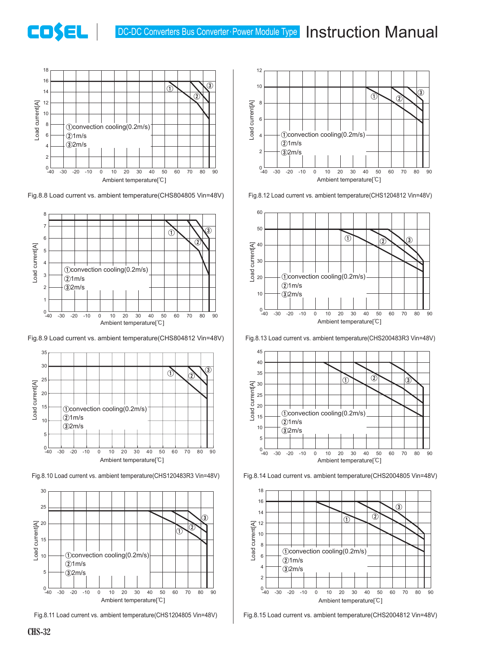# DC-DC Converters Bus Converter · Power Module Type Instruction Manual



**COSEL** 

Fig.8.8 Load current vs. ambient temperature(CHS804805 Vin=48V)



Fig.8.9 Load current vs. ambient temperature(CHS804812 Vin=48V) Fig.8.13 Load current vs. ambient temperature(CHS200483R3 Vin=48V)



Fig.8.10 Load current vs. ambient temperature(CHS120483R3 Vin=48V)



Fig.8.11 Load current vs. ambient temperature(CHS1204805 Vin=48V)



Fig.8.12 Load current vs. ambient temperature(CHS1204812 Vin=48V)









Fig.8.15 Load current vs. ambient temperature(CHS2004812 Vin=48V)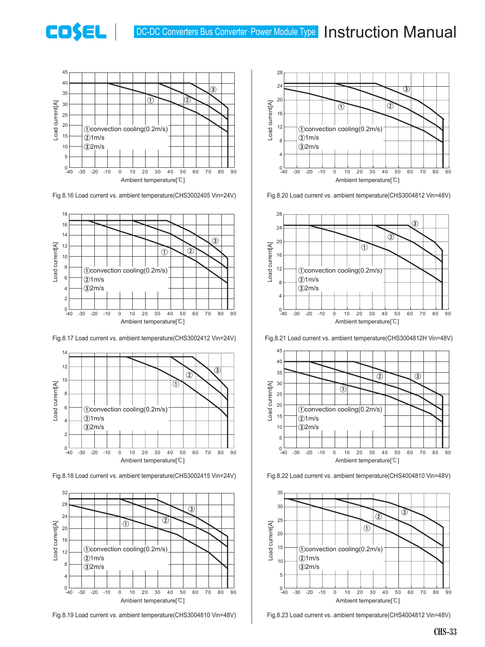

COSEL

Fig.8.16 Load current vs. ambient temperature(CHS3002405 Vin=24V)



Fig.8.17 Load current vs. ambient temperature(CHS3002412 Vin=24V)



Fig.8.18 Load current vs. ambient temperature(CHS3002415 Vin=24V)



Fig.8.19 Load current vs. ambient temperature(CHS3004810 Vin=48V)



Fig.8.20 Load current vs. ambient temperature(CHS3004812 Vin=48V)



Fig.8.21 Load current vs. ambient temperature(CHS3004812H Vin=48V)







Fig.8.23 Load current vs. ambient temperature(CHS4004812 Vin=48V)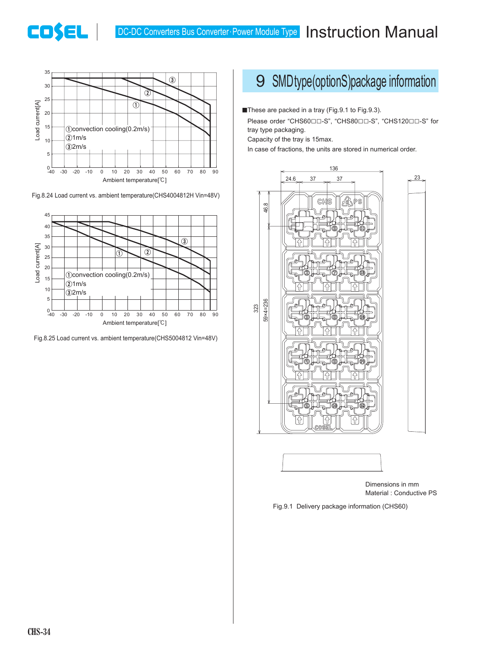### DC-DC Converters Bus Converter Power Module Type **Instruction Manual**



**CO\$EL** 

Fig.8.24 Load current vs. ambient temperature(CHS4004812H Vin=48V)



Fig.8.25 Load current vs. ambient temperature(CHS5004812 Vin=48V)

# 9 SMDtype(optionS)package information

■These are packed in a tray (Fig.9.1 to Fig.9.3).

Please order "CHS60□□-S", "CHS80□□-S", "CHS120□□-S" for tray type packaging.

Capacity of the tray is 15max.

In case of fractions, the units are stored in numerical order.





Dimensions in mm Material : Conductive PS

Fig.9.1 Delivery package information (CHS60)